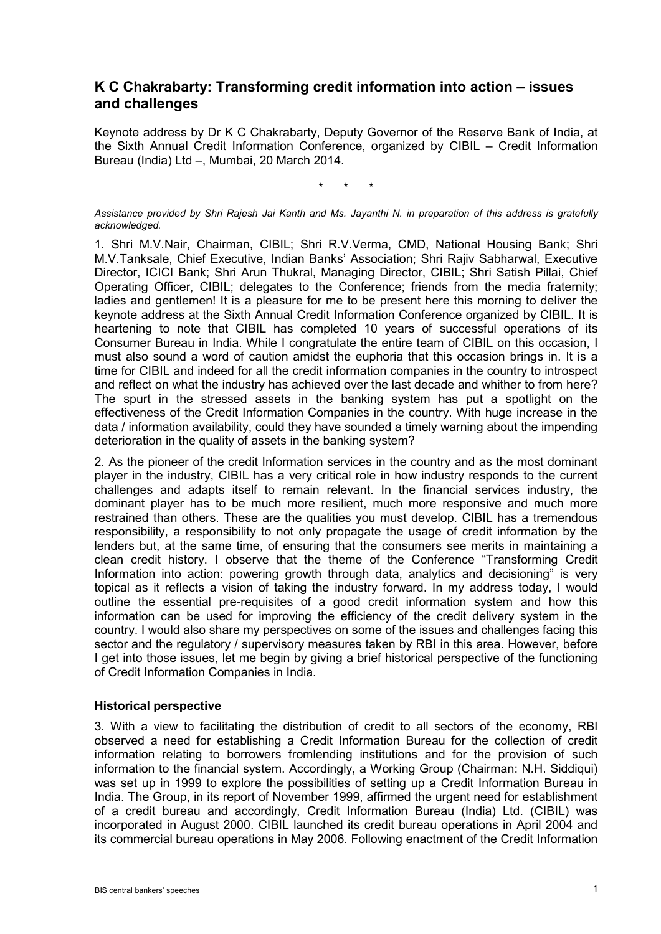# **K C Chakrabarty: Transforming credit information into action – issues and challenges**

Keynote address by Dr K C Chakrabarty, Deputy Governor of the Reserve Bank of India, at the Sixth Annual Credit Information Conference, organized by CIBIL – Credit Information Bureau (India) Ltd –, Mumbai, 20 March 2014.

\* \* \*

*Assistance provided by Shri Rajesh Jai Kanth and Ms. Jayanthi N. in preparation of this address is gratefully acknowledged.*

1. Shri M.V.Nair, Chairman, CIBIL; Shri R.V.Verma, CMD, National Housing Bank; Shri M.V.Tanksale, Chief Executive, Indian Banks' Association; Shri Rajiv Sabharwal, Executive Director, ICICI Bank; Shri Arun Thukral, Managing Director, CIBIL; Shri Satish Pillai, Chief Operating Officer, CIBIL; delegates to the Conference; friends from the media fraternity; ladies and gentlemen! It is a pleasure for me to be present here this morning to deliver the keynote address at the Sixth Annual Credit Information Conference organized by CIBIL. It is heartening to note that CIBIL has completed 10 years of successful operations of its Consumer Bureau in India. While I congratulate the entire team of CIBIL on this occasion, I must also sound a word of caution amidst the euphoria that this occasion brings in. It is a time for CIBIL and indeed for all the credit information companies in the country to introspect and reflect on what the industry has achieved over the last decade and whither to from here? The spurt in the stressed assets in the banking system has put a spotlight on the effectiveness of the Credit Information Companies in the country. With huge increase in the data / information availability, could they have sounded a timely warning about the impending deterioration in the quality of assets in the banking system?

2. As the pioneer of the credit Information services in the country and as the most dominant player in the industry, CIBIL has a very critical role in how industry responds to the current challenges and adapts itself to remain relevant. In the financial services industry, the dominant player has to be much more resilient, much more responsive and much more restrained than others. These are the qualities you must develop. CIBIL has a tremendous responsibility, a responsibility to not only propagate the usage of credit information by the lenders but, at the same time, of ensuring that the consumers see merits in maintaining a clean credit history. I observe that the theme of the Conference "Transforming Credit Information into action: powering growth through data, analytics and decisioning" is very topical as it reflects a vision of taking the industry forward. In my address today, I would outline the essential pre-requisites of a good credit information system and how this information can be used for improving the efficiency of the credit delivery system in the country. I would also share my perspectives on some of the issues and challenges facing this sector and the regulatory / supervisory measures taken by RBI in this area. However, before I get into those issues, let me begin by giving a brief historical perspective of the functioning of Credit Information Companies in India.

#### **Historical perspective**

3. With a view to facilitating the distribution of credit to all sectors of the economy, RBI observed a need for establishing a Credit Information Bureau for the collection of credit information relating to borrowers fromlending institutions and for the provision of such information to the financial system. Accordingly, a Working Group (Chairman: N.H. Siddiqui) was set up in 1999 to explore the possibilities of setting up a Credit Information Bureau in India. The Group, in its report of November 1999, affirmed the urgent need for establishment of a credit bureau and accordingly, Credit Information Bureau (India) Ltd. (CIBIL) was incorporated in August 2000. CIBIL launched its credit bureau operations in April 2004 and its commercial bureau operations in May 2006. Following enactment of the Credit Information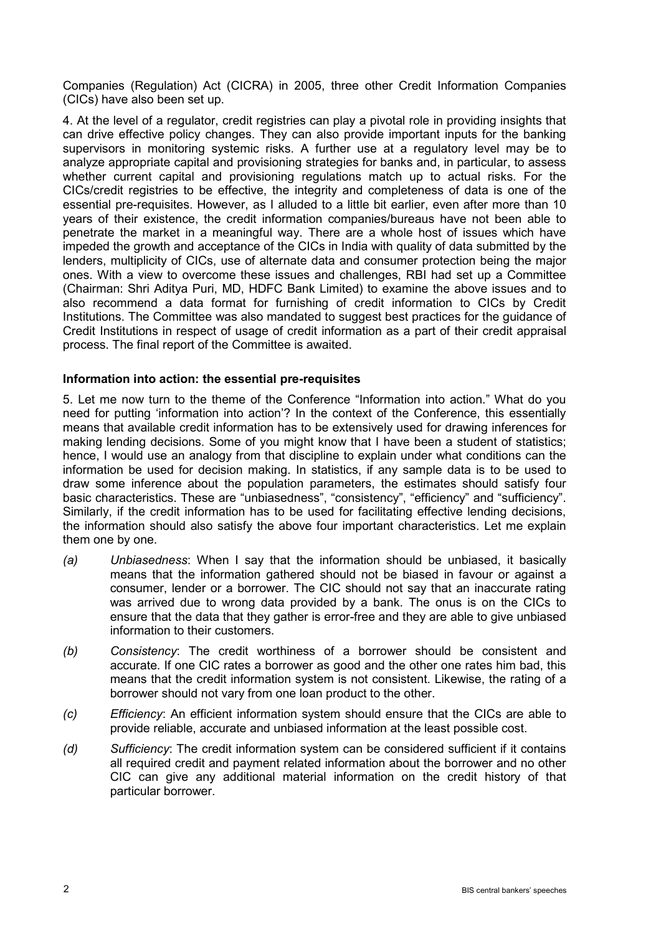Companies (Regulation) Act (CICRA) in 2005, three other Credit Information Companies (CICs) have also been set up.

4. At the level of a regulator, credit registries can play a pivotal role in providing insights that can drive effective policy changes. They can also provide important inputs for the banking supervisors in monitoring systemic risks. A further use at a regulatory level may be to analyze appropriate capital and provisioning strategies for banks and, in particular, to assess whether current capital and provisioning regulations match up to actual risks. For the CICs/credit registries to be effective, the integrity and completeness of data is one of the essential pre-requisites. However, as I alluded to a little bit earlier, even after more than 10 years of their existence, the credit information companies/bureaus have not been able to penetrate the market in a meaningful way. There are a whole host of issues which have impeded the growth and acceptance of the CICs in India with quality of data submitted by the lenders, multiplicity of CICs, use of alternate data and consumer protection being the major ones. With a view to overcome these issues and challenges, RBI had set up a Committee (Chairman: Shri Aditya Puri, MD, HDFC Bank Limited) to examine the above issues and to also recommend a data format for furnishing of credit information to CICs by Credit Institutions. The Committee was also mandated to suggest best practices for the guidance of Credit Institutions in respect of usage of credit information as a part of their credit appraisal process. The final report of the Committee is awaited.

### **Information into action: the essential pre-requisites**

5. Let me now turn to the theme of the Conference "Information into action." What do you need for putting 'information into action'? In the context of the Conference, this essentially means that available credit information has to be extensively used for drawing inferences for making lending decisions. Some of you might know that I have been a student of statistics; hence, I would use an analogy from that discipline to explain under what conditions can the information be used for decision making. In statistics, if any sample data is to be used to draw some inference about the population parameters, the estimates should satisfy four basic characteristics. These are "unbiasedness", "consistency", "efficiency" and "sufficiency". Similarly, if the credit information has to be used for facilitating effective lending decisions, the information should also satisfy the above four important characteristics. Let me explain them one by one.

- *(a) Unbiasedness*: When I say that the information should be unbiased, it basically means that the information gathered should not be biased in favour or against a consumer, lender or a borrower. The CIC should not say that an inaccurate rating was arrived due to wrong data provided by a bank. The onus is on the CICs to ensure that the data that they gather is error-free and they are able to give unbiased information to their customers.
- *(b) Consistency*: The credit worthiness of a borrower should be consistent and accurate. If one CIC rates a borrower as good and the other one rates him bad, this means that the credit information system is not consistent. Likewise, the rating of a borrower should not vary from one loan product to the other.
- *(c) Efficiency*: An efficient information system should ensure that the CICs are able to provide reliable, accurate and unbiased information at the least possible cost.
- *(d) Sufficiency*: The credit information system can be considered sufficient if it contains all required credit and payment related information about the borrower and no other CIC can give any additional material information on the credit history of that particular borrower.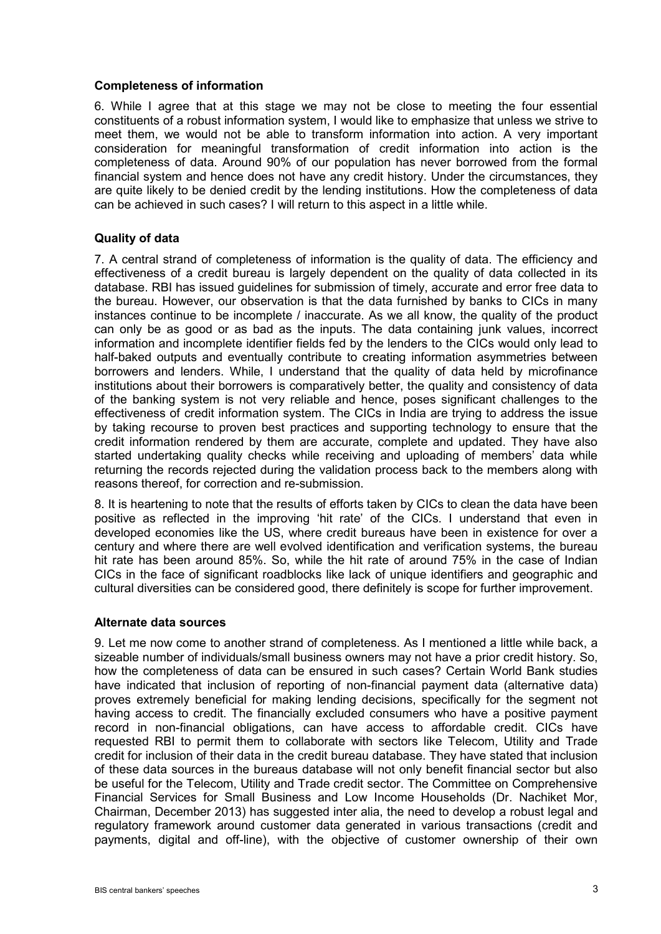### **Completeness of information**

6. While I agree that at this stage we may not be close to meeting the four essential constituents of a robust information system, I would like to emphasize that unless we strive to meet them, we would not be able to transform information into action. A very important consideration for meaningful transformation of credit information into action is the completeness of data. Around 90% of our population has never borrowed from the formal financial system and hence does not have any credit history. Under the circumstances, they are quite likely to be denied credit by the lending institutions. How the completeness of data can be achieved in such cases? I will return to this aspect in a little while.

## **Quality of data**

7. A central strand of completeness of information is the quality of data. The efficiency and effectiveness of a credit bureau is largely dependent on the quality of data collected in its database. RBI has issued guidelines for submission of timely, accurate and error free data to the bureau. However, our observation is that the data furnished by banks to CICs in many instances continue to be incomplete / inaccurate. As we all know, the quality of the product can only be as good or as bad as the inputs. The data containing junk values, incorrect information and incomplete identifier fields fed by the lenders to the CICs would only lead to half-baked outputs and eventually contribute to creating information asymmetries between borrowers and lenders. While, I understand that the quality of data held by microfinance institutions about their borrowers is comparatively better, the quality and consistency of data of the banking system is not very reliable and hence, poses significant challenges to the effectiveness of credit information system. The CICs in India are trying to address the issue by taking recourse to proven best practices and supporting technology to ensure that the credit information rendered by them are accurate, complete and updated. They have also started undertaking quality checks while receiving and uploading of members' data while returning the records rejected during the validation process back to the members along with reasons thereof, for correction and re-submission.

8. It is heartening to note that the results of efforts taken by CICs to clean the data have been positive as reflected in the improving 'hit rate' of the CICs. I understand that even in developed economies like the US, where credit bureaus have been in existence for over a century and where there are well evolved identification and verification systems, the bureau hit rate has been around 85%. So, while the hit rate of around 75% in the case of Indian CICs in the face of significant roadblocks like lack of unique identifiers and geographic and cultural diversities can be considered good, there definitely is scope for further improvement.

#### **Alternate data sources**

9. Let me now come to another strand of completeness. As I mentioned a little while back, a sizeable number of individuals/small business owners may not have a prior credit history. So, how the completeness of data can be ensured in such cases? Certain World Bank studies have indicated that inclusion of reporting of non-financial payment data (alternative data) proves extremely beneficial for making lending decisions, specifically for the segment not having access to credit. The financially excluded consumers who have a positive payment record in non-financial obligations, can have access to affordable credit. CICs have requested RBI to permit them to collaborate with sectors like Telecom, Utility and Trade credit for inclusion of their data in the credit bureau database. They have stated that inclusion of these data sources in the bureaus database will not only benefit financial sector but also be useful for the Telecom, Utility and Trade credit sector. The Committee on Comprehensive Financial Services for Small Business and Low Income Households (Dr. Nachiket Mor, Chairman, December 2013) has suggested inter alia, the need to develop a robust legal and regulatory framework around customer data generated in various transactions (credit and payments, digital and off-line), with the objective of customer ownership of their own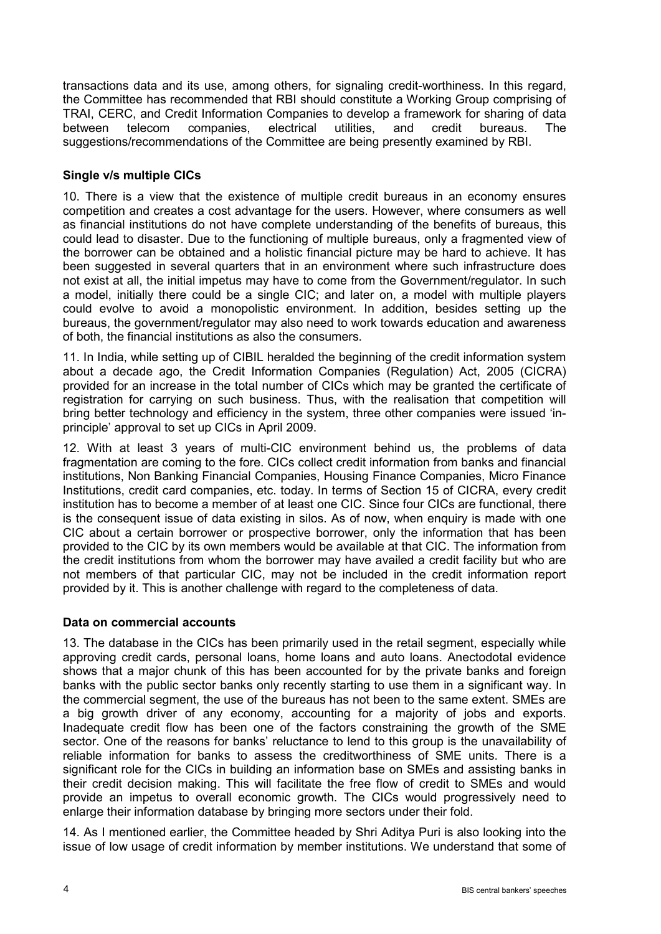transactions data and its use, among others, for signaling credit-worthiness. In this regard, the Committee has recommended that RBI should constitute a Working Group comprising of TRAI, CERC, and Credit Information Companies to develop a framework for sharing of data between telecom companies, electrical utilities, and credit bureaus. The suggestions/recommendations of the Committee are being presently examined by RBI.

## **Single v/s multiple CICs**

10. There is a view that the existence of multiple credit bureaus in an economy ensures competition and creates a cost advantage for the users. However, where consumers as well as financial institutions do not have complete understanding of the benefits of bureaus, this could lead to disaster. Due to the functioning of multiple bureaus, only a fragmented view of the borrower can be obtained and a holistic financial picture may be hard to achieve. It has been suggested in several quarters that in an environment where such infrastructure does not exist at all, the initial impetus may have to come from the Government/regulator. In such a model, initially there could be a single CIC; and later on, a model with multiple players could evolve to avoid a monopolistic environment. In addition, besides setting up the bureaus, the government/regulator may also need to work towards education and awareness of both, the financial institutions as also the consumers.

11. In India, while setting up of CIBIL heralded the beginning of the credit information system about a decade ago, the Credit Information Companies (Regulation) Act, 2005 (CICRA) provided for an increase in the total number of CICs which may be granted the certificate of registration for carrying on such business. Thus, with the realisation that competition will bring better technology and efficiency in the system, three other companies were issued 'inprinciple' approval to set up CICs in April 2009.

12. With at least 3 years of multi-CIC environment behind us, the problems of data fragmentation are coming to the fore. CICs collect credit information from banks and financial institutions, Non Banking Financial Companies, Housing Finance Companies, Micro Finance Institutions, credit card companies, etc. today. In terms of Section 15 of CICRA, every credit institution has to become a member of at least one CIC. Since four CICs are functional, there is the consequent issue of data existing in silos. As of now, when enquiry is made with one CIC about a certain borrower or prospective borrower, only the information that has been provided to the CIC by its own members would be available at that CIC. The information from the credit institutions from whom the borrower may have availed a credit facility but who are not members of that particular CIC, may not be included in the credit information report provided by it. This is another challenge with regard to the completeness of data.

#### **Data on commercial accounts**

13. The database in the CICs has been primarily used in the retail segment, especially while approving credit cards, personal loans, home loans and auto loans. Anectodotal evidence shows that a major chunk of this has been accounted for by the private banks and foreign banks with the public sector banks only recently starting to use them in a significant way. In the commercial segment, the use of the bureaus has not been to the same extent. SMEs are a big growth driver of any economy, accounting for a majority of jobs and exports. Inadequate credit flow has been one of the factors constraining the growth of the SME sector. One of the reasons for banks' reluctance to lend to this group is the unavailability of reliable information for banks to assess the creditworthiness of SME units. There is a significant role for the CICs in building an information base on SMEs and assisting banks in their credit decision making. This will facilitate the free flow of credit to SMEs and would provide an impetus to overall economic growth. The CICs would progressively need to enlarge their information database by bringing more sectors under their fold.

14. As I mentioned earlier, the Committee headed by Shri Aditya Puri is also looking into the issue of low usage of credit information by member institutions. We understand that some of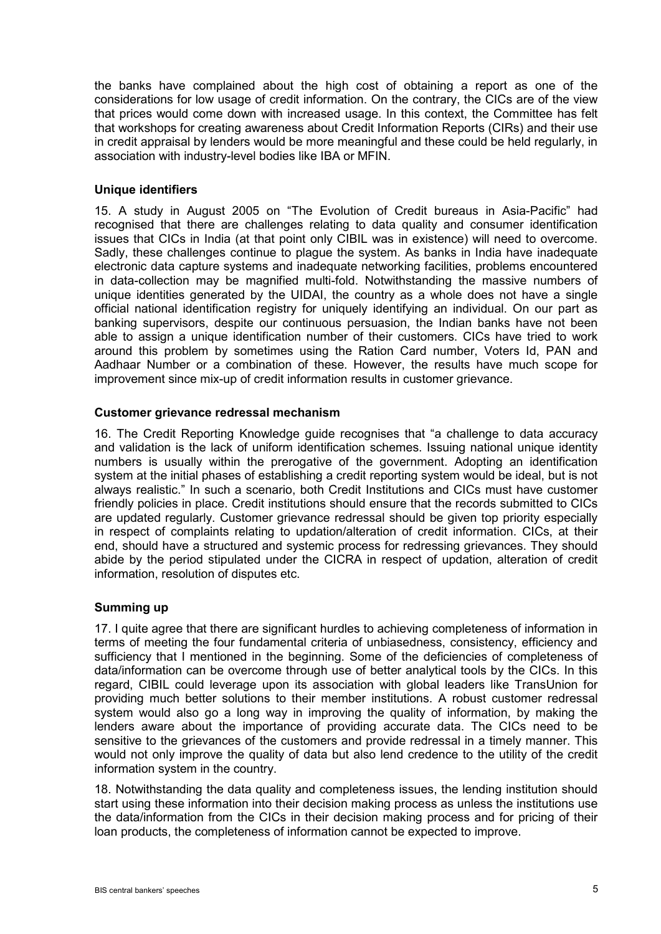the banks have complained about the high cost of obtaining a report as one of the considerations for low usage of credit information. On the contrary, the CICs are of the view that prices would come down with increased usage. In this context, the Committee has felt that workshops for creating awareness about Credit Information Reports (CIRs) and their use in credit appraisal by lenders would be more meaningful and these could be held regularly, in association with industry-level bodies like IBA or MFIN.

### **Unique identifiers**

15. A study in August 2005 on "The Evolution of Credit bureaus in Asia-Pacific" had recognised that there are challenges relating to data quality and consumer identification issues that CICs in India (at that point only CIBIL was in existence) will need to overcome. Sadly, these challenges continue to plague the system. As banks in India have inadequate electronic data capture systems and inadequate networking facilities, problems encountered in data-collection may be magnified multi-fold. Notwithstanding the massive numbers of unique identities generated by the UIDAI, the country as a whole does not have a single official national identification registry for uniquely identifying an individual. On our part as banking supervisors, despite our continuous persuasion, the Indian banks have not been able to assign a unique identification number of their customers. CICs have tried to work around this problem by sometimes using the Ration Card number, Voters Id, PAN and Aadhaar Number or a combination of these. However, the results have much scope for improvement since mix-up of credit information results in customer grievance.

### **Customer grievance redressal mechanism**

16. The Credit Reporting Knowledge guide recognises that "a challenge to data accuracy and validation is the lack of uniform identification schemes. Issuing national unique identity numbers is usually within the prerogative of the government. Adopting an identification system at the initial phases of establishing a credit reporting system would be ideal, but is not always realistic." In such a scenario, both Credit Institutions and CICs must have customer friendly policies in place. Credit institutions should ensure that the records submitted to CICs are updated regularly. Customer grievance redressal should be given top priority especially in respect of complaints relating to updation/alteration of credit information. CICs, at their end, should have a structured and systemic process for redressing grievances. They should abide by the period stipulated under the CICRA in respect of updation, alteration of credit information, resolution of disputes etc.

## **Summing up**

17. I quite agree that there are significant hurdles to achieving completeness of information in terms of meeting the four fundamental criteria of unbiasedness, consistency, efficiency and sufficiency that I mentioned in the beginning. Some of the deficiencies of completeness of data/information can be overcome through use of better analytical tools by the CICs. In this regard, CIBIL could leverage upon its association with global leaders like TransUnion for providing much better solutions to their member institutions. A robust customer redressal system would also go a long way in improving the quality of information, by making the lenders aware about the importance of providing accurate data. The CICs need to be sensitive to the grievances of the customers and provide redressal in a timely manner. This would not only improve the quality of data but also lend credence to the utility of the credit information system in the country.

18. Notwithstanding the data quality and completeness issues, the lending institution should start using these information into their decision making process as unless the institutions use the data/information from the CICs in their decision making process and for pricing of their loan products, the completeness of information cannot be expected to improve.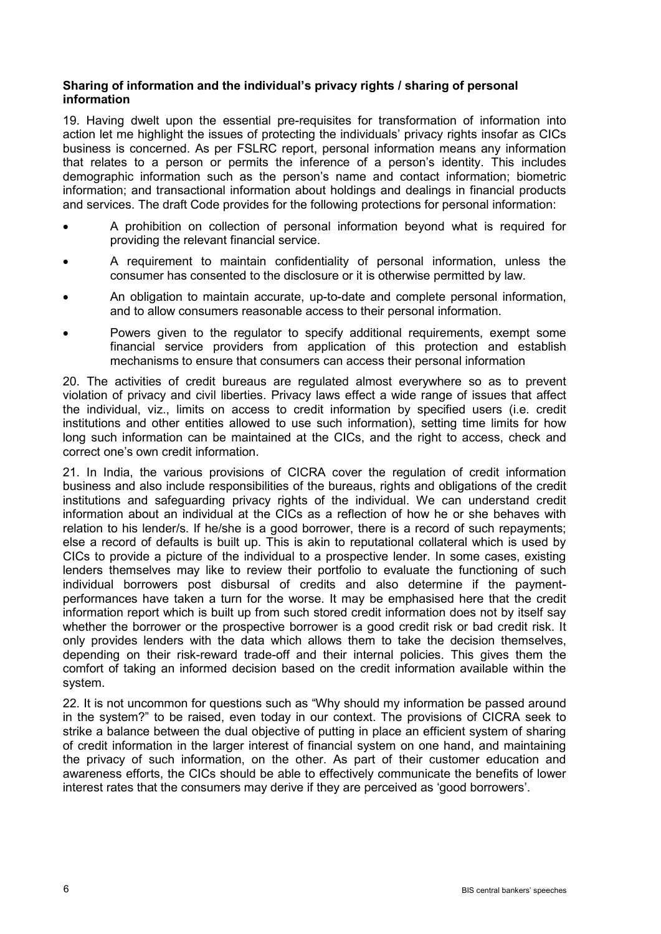## **Sharing of information and the individual's privacy rights / sharing of personal information**

19. Having dwelt upon the essential pre-requisites for transformation of information into action let me highlight the issues of protecting the individuals' privacy rights insofar as CICs business is concerned. As per FSLRC report, personal information means any information that relates to a person or permits the inference of a person's identity. This includes demographic information such as the person's name and contact information; biometric information; and transactional information about holdings and dealings in financial products and services. The draft Code provides for the following protections for personal information:

- A prohibition on collection of personal information beyond what is required for providing the relevant financial service.
- A requirement to maintain confidentiality of personal information, unless the consumer has consented to the disclosure or it is otherwise permitted by law.
- An obligation to maintain accurate, up-to-date and complete personal information, and to allow consumers reasonable access to their personal information.
- Powers given to the regulator to specify additional requirements, exempt some financial service providers from application of this protection and establish mechanisms to ensure that consumers can access their personal information

20. The activities of credit bureaus are regulated almost everywhere so as to prevent violation of privacy and civil liberties. Privacy laws effect a wide range of issues that affect the individual, viz., limits on access to credit information by specified users (i.e. credit institutions and other entities allowed to use such information), setting time limits for how long such information can be maintained at the CICs, and the right to access, check and correct one's own credit information.

21. In India, the various provisions of CICRA cover the regulation of credit information business and also include responsibilities of the bureaus, rights and obligations of the credit institutions and safeguarding privacy rights of the individual. We can understand credit information about an individual at the CICs as a reflection of how he or she behaves with relation to his lender/s. If he/she is a good borrower, there is a record of such repayments; else a record of defaults is built up. This is akin to reputational collateral which is used by CICs to provide a picture of the individual to a prospective lender. In some cases, existing lenders themselves may like to review their portfolio to evaluate the functioning of such individual borrowers post disbursal of credits and also determine if the paymentperformances have taken a turn for the worse. It may be emphasised here that the credit information report which is built up from such stored credit information does not by itself say whether the borrower or the prospective borrower is a good credit risk or bad credit risk. It only provides lenders with the data which allows them to take the decision themselves, depending on their risk-reward trade-off and their internal policies. This gives them the comfort of taking an informed decision based on the credit information available within the system.

22. It is not uncommon for questions such as "Why should my information be passed around in the system?" to be raised, even today in our context. The provisions of CICRA seek to strike a balance between the dual objective of putting in place an efficient system of sharing of credit information in the larger interest of financial system on one hand, and maintaining the privacy of such information, on the other. As part of their customer education and awareness efforts, the CICs should be able to effectively communicate the benefits of lower interest rates that the consumers may derive if they are perceived as 'good borrowers'.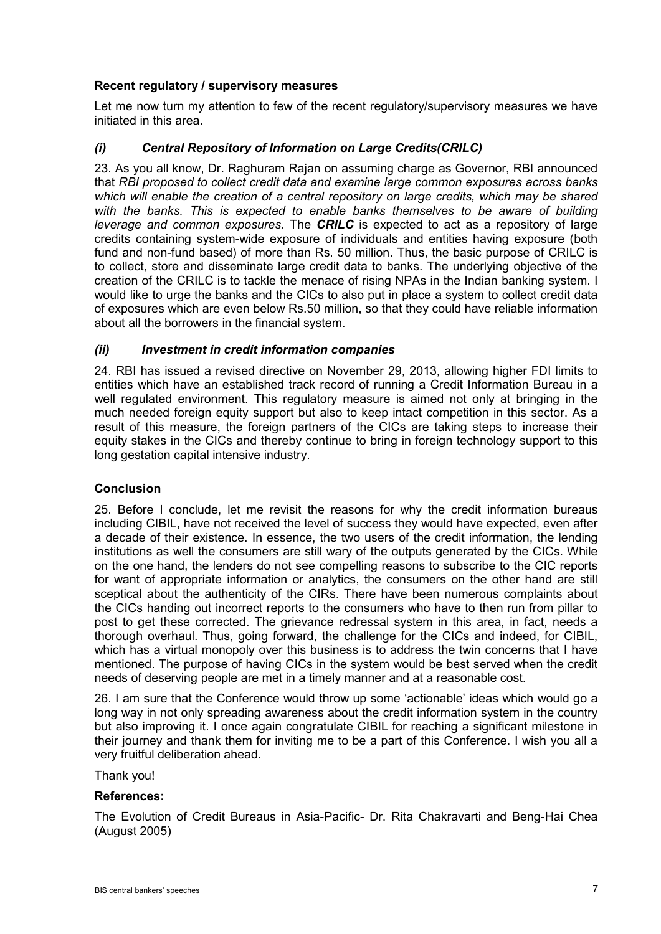## **Recent regulatory / supervisory measures**

Let me now turn my attention to few of the recent regulatory/supervisory measures we have initiated in this area.

## *(i) Central Repository of Information on Large Credits(CRILC)*

23. As you all know, Dr. Raghuram Rajan on assuming charge as Governor, RBI announced that *RBI proposed to collect credit data and examine large common exposures across banks*  which will enable the creation of a central repository on large credits, which may be shared with the banks. This is expected to enable banks themselves to be aware of building *leverage and common exposures.* The *CRILC* is expected to act as a repository of large credits containing system-wide exposure of individuals and entities having exposure (both fund and non-fund based) of more than Rs. 50 million. Thus, the basic purpose of CRILC is to collect, store and disseminate large credit data to banks. The underlying objective of the creation of the CRILC is to tackle the menace of rising NPAs in the Indian banking system. I would like to urge the banks and the CICs to also put in place a system to collect credit data of exposures which are even below Rs.50 million, so that they could have reliable information about all the borrowers in the financial system.

## *(ii) Investment in credit information companies*

24. RBI has issued a revised directive on November 29, 2013, allowing higher FDI limits to entities which have an established track record of running a Credit Information Bureau in a well regulated environment. This regulatory measure is aimed not only at bringing in the much needed foreign equity support but also to keep intact competition in this sector. As a result of this measure, the foreign partners of the CICs are taking steps to increase their equity stakes in the CICs and thereby continue to bring in foreign technology support to this long gestation capital intensive industry.

## **Conclusion**

25. Before I conclude, let me revisit the reasons for why the credit information bureaus including CIBIL, have not received the level of success they would have expected, even after a decade of their existence. In essence, the two users of the credit information, the lending institutions as well the consumers are still wary of the outputs generated by the CICs. While on the one hand, the lenders do not see compelling reasons to subscribe to the CIC reports for want of appropriate information or analytics, the consumers on the other hand are still sceptical about the authenticity of the CIRs. There have been numerous complaints about the CICs handing out incorrect reports to the consumers who have to then run from pillar to post to get these corrected. The grievance redressal system in this area, in fact, needs a thorough overhaul. Thus, going forward, the challenge for the CICs and indeed, for CIBIL, which has a virtual monopoly over this business is to address the twin concerns that I have mentioned. The purpose of having CICs in the system would be best served when the credit needs of deserving people are met in a timely manner and at a reasonable cost.

26. I am sure that the Conference would throw up some 'actionable' ideas which would go a long way in not only spreading awareness about the credit information system in the country but also improving it. I once again congratulate CIBIL for reaching a significant milestone in their journey and thank them for inviting me to be a part of this Conference. I wish you all a very fruitful deliberation ahead.

#### Thank you!

## **References:**

The Evolution of Credit Bureaus in Asia-Pacific- Dr. Rita Chakravarti and Beng-Hai Chea (August 2005)